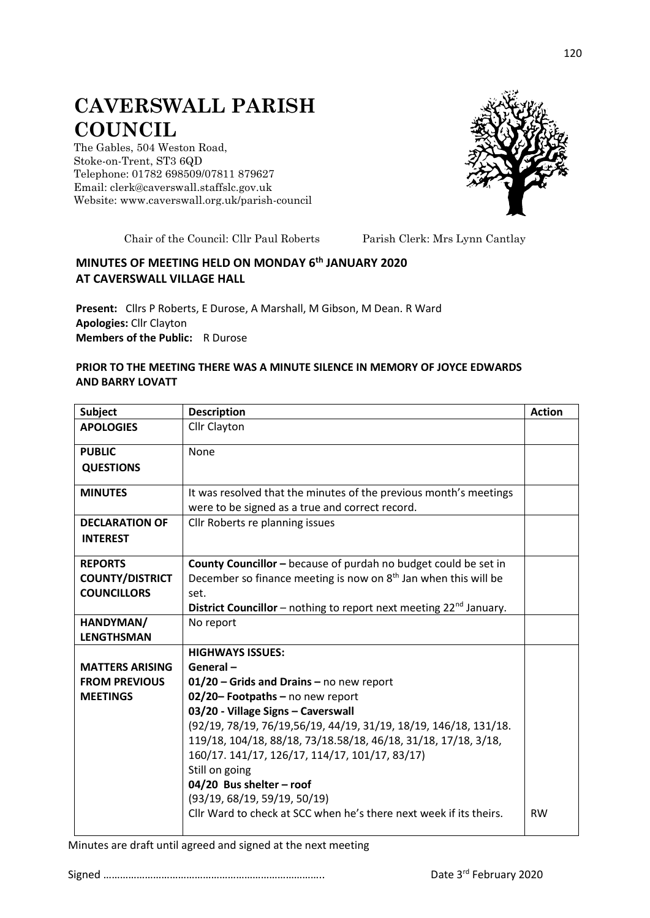## **CAVERSWALL PARISH COUNCIL**

The Gables, 504 Weston Road, Stoke-on-Trent, ST3 6QD Telephone: 01782 698509/07811 879627 Email: clerk@caverswall.staffslc.gov.uk Website: [www.c](http://www.dilhorneparishcouncil.co.uk/)averswall.org.uk/parish-council



Chair of the Council: Cllr Paul Roberts Parish Clerk: Mrs Lynn Cantlay

## **MINUTES OF MEETING HELD ON MONDAY 6 th JANUARY 2020 AT CAVERSWALL VILLAGE HALL**

**Present:** Cllrs P Roberts, E Durose, A Marshall, M Gibson, M Dean. R Ward **Apologies:** Cllr Clayton **Members of the Public:** R Durose

## **PRIOR TO THE MEETING THERE WAS A MINUTE SILENCE IN MEMORY OF JOYCE EDWARDS AND BARRY LOVATT**

| <b>Subject</b>         | <b>Description</b>                                                             | <b>Action</b> |
|------------------------|--------------------------------------------------------------------------------|---------------|
| <b>APOLOGIES</b>       | Cllr Clayton                                                                   |               |
| <b>PUBLIC</b>          | None                                                                           |               |
| <b>QUESTIONS</b>       |                                                                                |               |
| <b>MINUTES</b>         | It was resolved that the minutes of the previous month's meetings              |               |
|                        | were to be signed as a true and correct record.                                |               |
| <b>DECLARATION OF</b>  | Cllr Roberts re planning issues                                                |               |
| <b>INTEREST</b>        |                                                                                |               |
| <b>REPORTS</b>         | County Councillor - because of purdah no budget could be set in                |               |
| <b>COUNTY/DISTRICT</b> | December so finance meeting is now on $8th$ Jan when this will be              |               |
| <b>COUNCILLORS</b>     | set.                                                                           |               |
|                        | <b>District Councillor</b> – nothing to report next meeting $22^{nd}$ January. |               |
| HANDYMAN/              | No report                                                                      |               |
| <b>LENGTHSMAN</b>      |                                                                                |               |
|                        | <b>HIGHWAYS ISSUES:</b>                                                        |               |
| <b>MATTERS ARISING</b> | General-                                                                       |               |
| <b>FROM PREVIOUS</b>   | $01/20$ – Grids and Drains – no new report                                     |               |
| <b>MEETINGS</b>        | 02/20-Footpaths-no new report                                                  |               |
|                        | 03/20 - Village Signs - Caverswall                                             |               |
|                        | (92/19, 78/19, 76/19,56/19, 44/19, 31/19, 18/19, 146/18, 131/18.               |               |
|                        | 119/18, 104/18, 88/18, 73/18.58/18, 46/18, 31/18, 17/18, 3/18,                 |               |
|                        | 160/17. 141/17, 126/17, 114/17, 101/17, 83/17)                                 |               |
|                        | Still on going                                                                 |               |
|                        | 04/20 Bus shelter - roof                                                       |               |
|                        | (93/19, 68/19, 59/19, 50/19)                                                   |               |
|                        | Cllr Ward to check at SCC when he's there next week if its theirs.             | <b>RW</b>     |
|                        |                                                                                |               |

Minutes are draft until agreed and signed at the next meeting

Signed …………………………………………………………………….. Date 3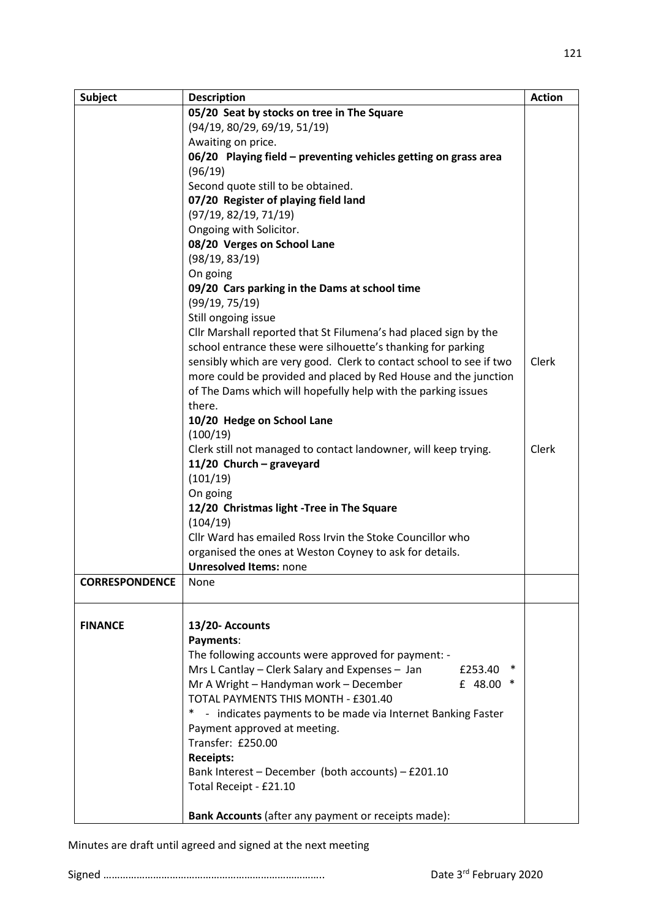| <b>Subject</b>        | <b>Description</b>                                                    | <b>Action</b> |
|-----------------------|-----------------------------------------------------------------------|---------------|
|                       | 05/20 Seat by stocks on tree in The Square                            |               |
|                       | (94/19, 80/29, 69/19, 51/19)                                          |               |
|                       | Awaiting on price.                                                    |               |
|                       | 06/20 Playing field - preventing vehicles getting on grass area       |               |
|                       | (96/19)                                                               |               |
|                       | Second quote still to be obtained.                                    |               |
|                       | 07/20 Register of playing field land                                  |               |
|                       | (97/19, 82/19, 71/19)                                                 |               |
|                       | Ongoing with Solicitor.                                               |               |
|                       | 08/20 Verges on School Lane                                           |               |
|                       | (98/19, 83/19)                                                        |               |
|                       | On going                                                              |               |
|                       | 09/20 Cars parking in the Dams at school time                         |               |
|                       | (99/19, 75/19)                                                        |               |
|                       | Still ongoing issue                                                   |               |
|                       | Cllr Marshall reported that St Filumena's had placed sign by the      |               |
|                       | school entrance these were silhouette's thanking for parking          |               |
|                       | sensibly which are very good. Clerk to contact school to see if two   | Clerk         |
|                       | more could be provided and placed by Red House and the junction       |               |
|                       | of The Dams which will hopefully help with the parking issues         |               |
|                       | there.                                                                |               |
|                       | 10/20 Hedge on School Lane                                            |               |
|                       | (100/19)                                                              |               |
|                       | Clerk still not managed to contact landowner, will keep trying.       | Clerk         |
|                       | 11/20 Church - graveyard                                              |               |
|                       | (101/19)                                                              |               |
|                       | On going                                                              |               |
|                       | 12/20 Christmas light -Tree in The Square                             |               |
|                       | (104/19)                                                              |               |
|                       | Cllr Ward has emailed Ross Irvin the Stoke Councillor who             |               |
|                       | organised the ones at Weston Coyney to ask for details.               |               |
|                       | <b>Unresolved Items: none</b>                                         |               |
| <b>CORRESPONDENCE</b> | None                                                                  |               |
|                       |                                                                       |               |
|                       |                                                                       |               |
| <b>FINANCE</b>        | 13/20- Accounts                                                       |               |
|                       | Payments:                                                             |               |
|                       | The following accounts were approved for payment: -                   |               |
|                       | Mrs L Cantlay - Clerk Salary and Expenses - Jan<br>£253.40            |               |
|                       | Mr A Wright - Handyman work - December<br>£ 48.00<br>∗                |               |
|                       | TOTAL PAYMENTS THIS MONTH - £301.40                                   |               |
|                       | $\ast$<br>- indicates payments to be made via Internet Banking Faster |               |
|                       | Payment approved at meeting.                                          |               |
|                       | Transfer: £250.00                                                     |               |
|                       | <b>Receipts:</b>                                                      |               |
|                       | Bank Interest - December (both accounts) - £201.10                    |               |
|                       | Total Receipt - £21.10                                                |               |
|                       |                                                                       |               |
|                       | Bank Accounts (after any payment or receipts made):                   |               |

121

Minutes are draft until agreed and signed at the next meeting

Signed …………………………………………………………………….. Date 3